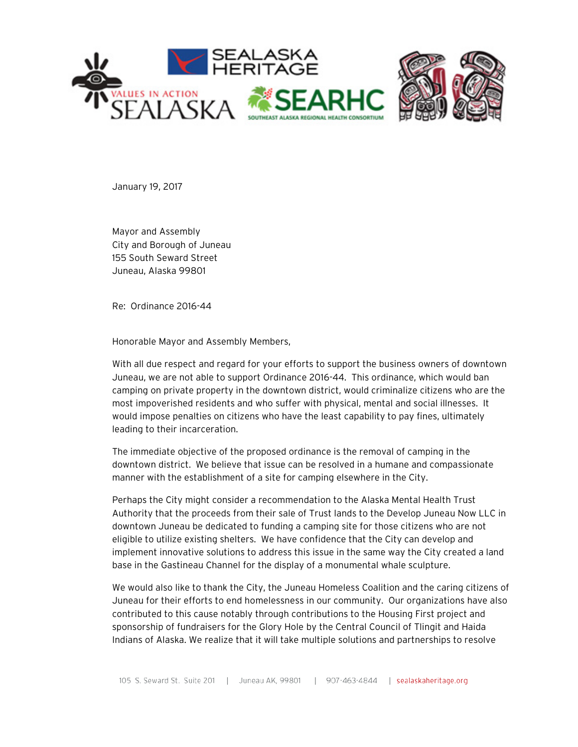

January 19, 2017

Mayor and Assembly City and Borough of Juneau 155 South Seward Street Juneau, Alaska 99801

Re: Ordinance 2016-44

Honorable Mayor and Assembly Members,

With all due respect and regard for your efforts to support the business owners of downtown Juneau, we are not able to support Ordinance 2016-44. This ordinance, which would ban camping on private property in the downtown district, would criminalize citizens who are the most impoverished residents and who suffer with physical, mental and social illnesses. It would impose penalties on citizens who have the least capability to pay fines, ultimately leading to their incarceration.

The immediate objective of the proposed ordinance is the removal of camping in the downtown district. We believe that issue can be resolved in a humane and compassionate manner with the establishment of a site for camping elsewhere in the City.

Perhaps the City might consider a recommendation to the Alaska Mental Health Trust Authority that the proceeds from their sale of Trust lands to the Develop Juneau Now LLC in downtown Juneau be dedicated to funding a camping site for those citizens who are not eligible to utilize existing shelters. We have confidence that the City can develop and implement innovative solutions to address this issue in the same way the City created a land base in the Gastineau Channel for the display of a monumental whale sculpture.

We would also like to thank the City, the Juneau Homeless Coalition and the caring citizens of Juneau for their efforts to end homelessness in our community. Our organizations have also contributed to this cause notably through contributions to the Housing First project and sponsorship of fundraisers for the Glory Hole by the Central Council of Tlingit and Haida Indians of Alaska. We realize that it will take multiple solutions and partnerships to resolve